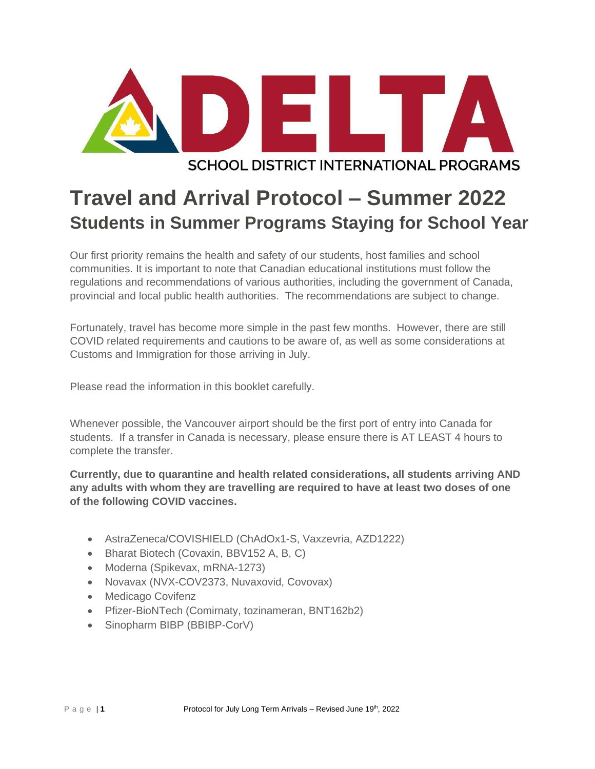

# **SCHOOL DISTRICT INTERNATIONAL PROGRAMS**

# **Travel and Arrival Protocol – Summer 2022 Students in Summer Programs Staying for School Year**

Our first priority remains the health and safety of our students, host families and school communities. It is important to note that Canadian educational institutions must follow the regulations and recommendations of various authorities, including the government of Canada, provincial and local public health authorities. The recommendations are subject to change.

Fortunately, travel has become more simple in the past few months. However, there are still COVID related requirements and cautions to be aware of, as well as some considerations at Customs and Immigration for those arriving in July.

Please read the information in this booklet carefully.

Whenever possible, the Vancouver airport should be the first port of entry into Canada for students. If a transfer in Canada is necessary, please ensure there is AT LEAST 4 hours to complete the transfer.

**Currently, due to quarantine and health related considerations, all students arriving AND any adults with whom they are travelling are required to have at least two doses of one of the following COVID vaccines.** 

- AstraZeneca/COVISHIELD (ChAdOx1-S, Vaxzevria, AZD1222)
- Bharat Biotech (Covaxin, BBV152 A, B, C)
- Moderna (Spikevax, mRNA-1273)
- Novavax (NVX-COV2373, Nuvaxovid, Covovax)
- Medicago Covifenz
- Pfizer-BioNTech (Comirnaty, tozinameran, BNT162b2)
- Sinopharm BIBP (BBIBP-CorV)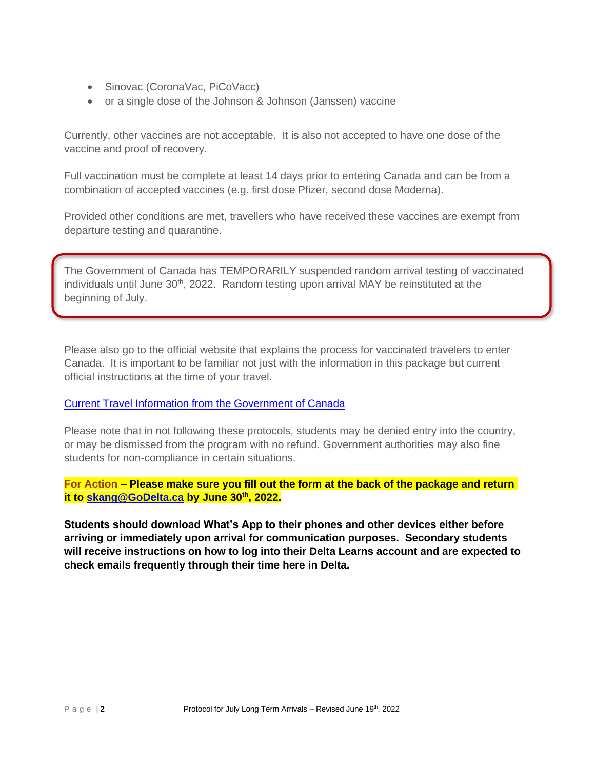- Sinovac (CoronaVac, PiCoVacc)
- or a single dose of the Johnson & Johnson (Janssen) vaccine

Currently, other vaccines are not acceptable. It is also not accepted to have one dose of the vaccine and proof of recovery.

Full vaccination must be complete at least 14 days prior to entering Canada and can be from a combination of accepted vaccines (e.g. first dose Pfizer, second dose Moderna).

Provided other conditions are met, travellers who have received these vaccines are exempt from departure testing and quarantine.

The Government of Canada has TEMPORARILY suspended random arrival testing of vaccinated individuals until June 30<sup>th</sup>, 2022. Random testing upon arrival MAY be reinstituted at the beginning of July.

Please also go to the official website that explains the process for vaccinated travelers to enter Canada. It is important to be familiar not just with the information in this package but current official instructions at the time of your travel.

[Current Travel Information from the Government of Canada](https://travel.gc.ca/travel-covid/travel-restrictions/covid-vaccinated-travellers-entering-canada#pre-entry-testing)

Please note that in not following these protocols, students may be denied entry into the country, or may be dismissed from the program with no refund. Government authorities may also fine students for non-compliance in certain situations.

**For Action – Please make sure you fill out the form at the back of the package and return it to [skang@GoDelta.ca](mailto:skang@GoDelta.ca) by June 30th , 2022.**

**Students should download What's App to their phones and other devices either before arriving or immediately upon arrival for communication purposes. Secondary students will receive instructions on how to log into their Delta Learns account and are expected to check emails frequently through their time here in Delta.**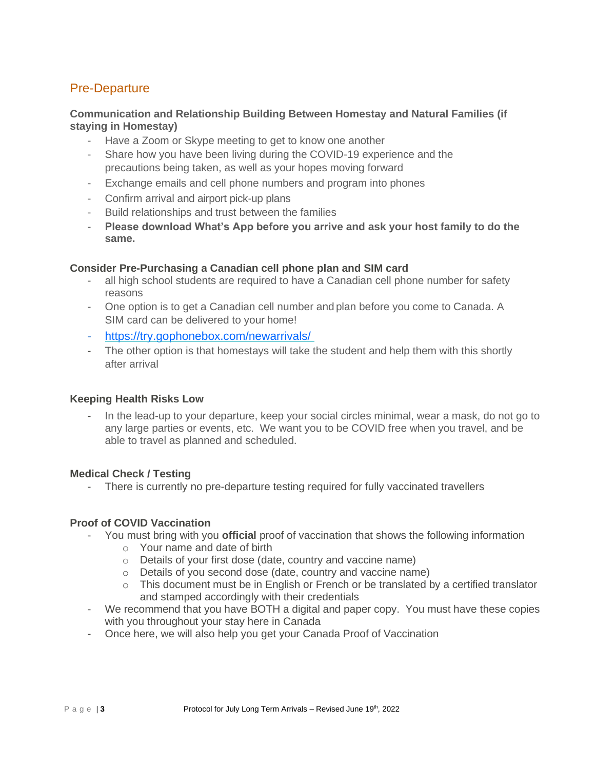# Pre-Departure

### **Communication and Relationship Building Between Homestay and Natural Families (if staying in Homestay)**

- Have a Zoom or Skype meeting to get to know one another
- Share how you have been living during the COVID-19 experience and the precautions being taken, as well as your hopes moving forward
- Exchange emails and cell phone numbers and program into phones
- Confirm arrival and airport pick-up plans
- Build relationships and trust between the families
- **Please download What's App before you arrive and ask your host family to do the same.**

### **Consider Pre-Purchasing a Canadian cell phone plan and SIM card**

- all high school students are required to have a Canadian cell phone number for safety reasons
- One option is to get a Canadian cell number and plan before you come to Canada. A SIM card can be delivered to your home!
- <https://try.gophonebox.com/newarrivals/>
- The other option is that homestays will take the student and help them with this shortly after arrival

#### **Keeping Health Risks Low**

- In the lead-up to your departure, keep your social circles minimal, wear a mask, do not go to any large parties or events, etc. We want you to be COVID free when you travel, and be able to travel as planned and scheduled.

#### **Medical Check / Testing**

- There is currently no pre-departure testing required for fully vaccinated travellers

### **Proof of COVID Vaccination**

- You must bring with you **official** proof of vaccination that shows the following information
	- o Your name and date of birth
	- o Details of your first dose (date, country and vaccine name)
	- o Details of you second dose (date, country and vaccine name)
	- o This document must be in English or French or be translated by a certified translator and stamped accordingly with their credentials
- We recommend that you have BOTH a digital and paper copy. You must have these copies with you throughout your stay here in Canada
- Once here, we will also help you get your Canada Proof of Vaccination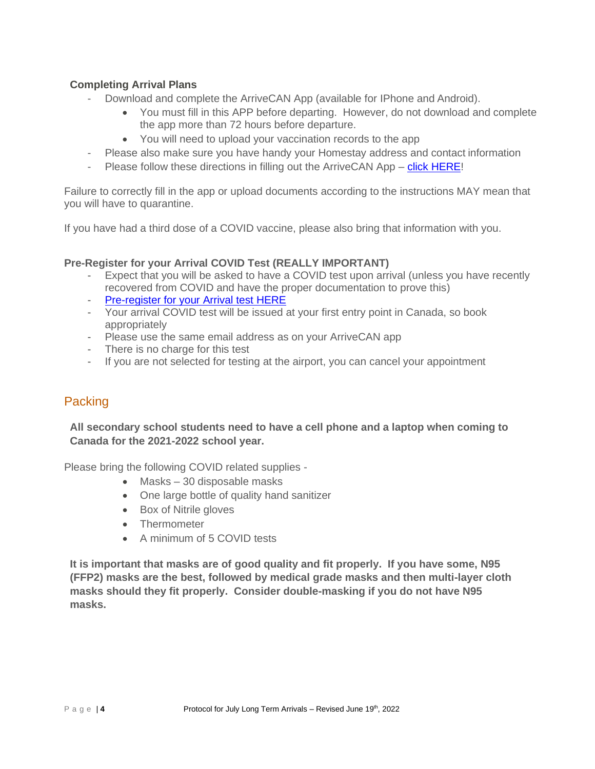# **Completing Arrival Plans**

- Download and complete the ArriveCAN App (available for IPhone and Android).
	- You must fill in this APP before departing. However, do not download and complete the app more than 72 hours before departure.
	- You will need to upload your vaccination records to the app
- Please also make sure you have handy your Homestay address and contact information
- Please follow these directions in filling out the ArriveCAN App [click HERE!](https://www.godelta.ca/files/3581__ArriveCAN_App_v2.29.9_Student_Travel_Guide.pdf)

Failure to correctly fill in the app or upload documents according to the instructions MAY mean that you will have to quarantine.

If you have had a third dose of a COVID vaccine, please also bring that information with you.

### **Pre-Register for your Arrival COVID Test (REALLY IMPORTANT)**

- Expect that you will be asked to have a COVID test upon arrival (unless you have recently recovered from COVID and have the proper documentation to prove this)
- [Pre-register for your Arrival test HERE](https://www.lifelabs.com/flyclear/onarrival/?myProvince=bc)
- Your arrival COVID test will be issued at your first entry point in Canada, so book appropriately
- Please use the same email address as on your ArriveCAN app
- There is no charge for this test
- If you are not selected for testing at the airport, you can cancel your appointment

# Packing

**All secondary school students need to have a cell phone and a laptop when coming to Canada for the 2021-2022 school year.**

Please bring the following COVID related supplies -

- Masks 30 disposable masks
- One large bottle of quality hand sanitizer
- Box of Nitrile gloves
- Thermometer
- A minimum of 5 COVID tests

**It is important that masks are of good quality and fit properly. If you have some, N95 (FFP2) masks are the best, followed by medical grade masks and then multi-layer cloth masks should they fit properly. Consider double-masking if you do not have N95 masks.**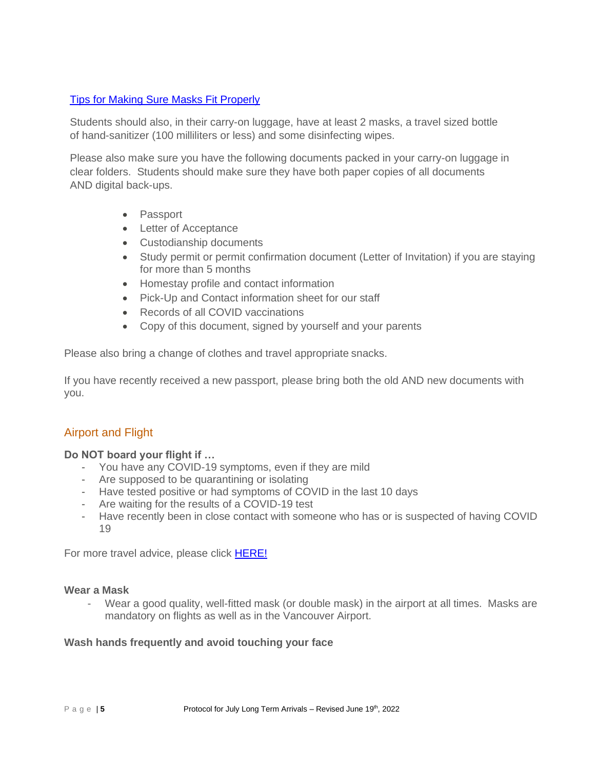# [Tips for Making Sure Masks Fit Properly](https://www.canada.ca/content/dam/phac-aspc/documents/services/publications/diseases-conditions/covid-19-mask-fit-properly/covid-19-mask-fit-properly-en.pdf)

Students should also, in their carry-on luggage, have at least 2 masks, a travel sized bottle of hand-sanitizer (100 milliliters or less) and some disinfecting wipes.

Please also make sure you have the following documents packed in your carry-on luggage in clear folders. Students should make sure they have both paper copies of all documents AND digital back-ups.

- Passport
- Letter of Acceptance
- Custodianship documents
- Study permit or permit confirmation document (Letter of Invitation) if you are staying for more than 5 months
- Homestay profile and contact information
- Pick-Up and Contact information sheet for our staff
- Records of all COVID vaccinations
- Copy of this document, signed by yourself and your parents

Please also bring a change of clothes and travel appropriate snacks.

If you have recently received a new passport, please bring both the old AND new documents with you.

# Airport and Flight

### **Do NOT board your flight if …**

- You have any COVID-19 symptoms, even if they are mild
- Are supposed to be quarantining or isolating
- Have tested positive or had symptoms of COVID in the last 10 days
- Are waiting for the results of a COVID-19 test
- Have recently been in close contact with someone who has or is suspected of having COVID 19

For more travel advice, please click [HERE!](https://travel.gc.ca/travelling/health-safety/travel-health-notices/226)

#### **Wear a Mask**

Wear a good quality, well-fitted mask (or double mask) in the airport at all times. Masks are mandatory on flights as well as in the Vancouver Airport.

### **Wash hands frequently and avoid touching your face**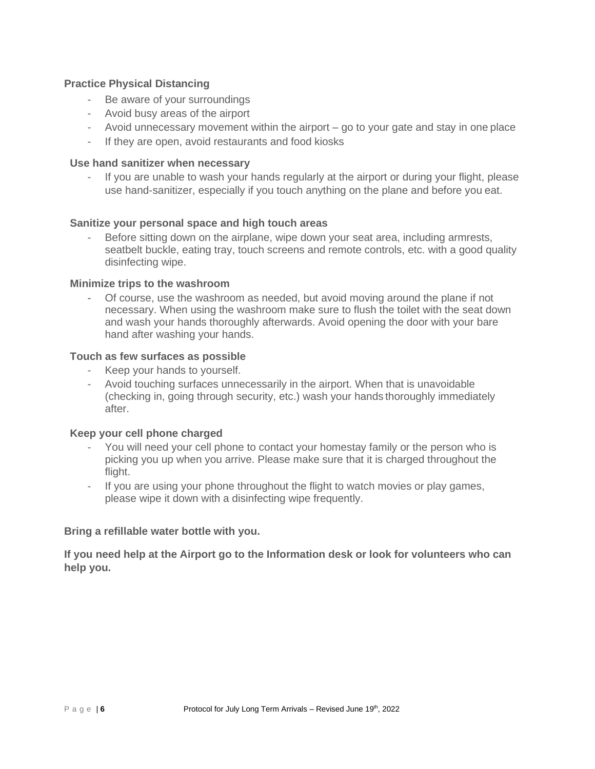### **Practice Physical Distancing**

- Be aware of your surroundings
- Avoid busy areas of the airport
- Avoid unnecessary movement within the airport go to your gate and stay in one place
- If they are open, avoid restaurants and food kiosks

### **Use hand sanitizer when necessary**

- If you are unable to wash your hands regularly at the airport or during your flight, please use hand-sanitizer, especially if you touch anything on the plane and before you eat.

### **Sanitize your personal space and high touch areas**

Before sitting down on the airplane, wipe down your seat area, including armrests, seatbelt buckle, eating tray, touch screens and remote controls, etc. with a good quality disinfecting wipe.

### **Minimize trips to the washroom**

- Of course, use the washroom as needed, but avoid moving around the plane if not necessary. When using the washroom make sure to flush the toilet with the seat down and wash your hands thoroughly afterwards. Avoid opening the door with your bare hand after washing your hands.

### **Touch as few surfaces as possible**

- Keep your hands to yourself.
- Avoid touching surfaces unnecessarily in the airport. When that is unavoidable (checking in, going through security, etc.) wash your hands thoroughly immediately after.

#### **Keep your cell phone charged**

- You will need your cell phone to contact your homestay family or the person who is picking you up when you arrive. Please make sure that it is charged throughout the flight.
- If you are using your phone throughout the flight to watch movies or play games, please wipe it down with a disinfecting wipe frequently.

### **Bring a refillable water bottle with you.**

**If you need help at the Airport go to the Information desk or look for volunteers who can help you.**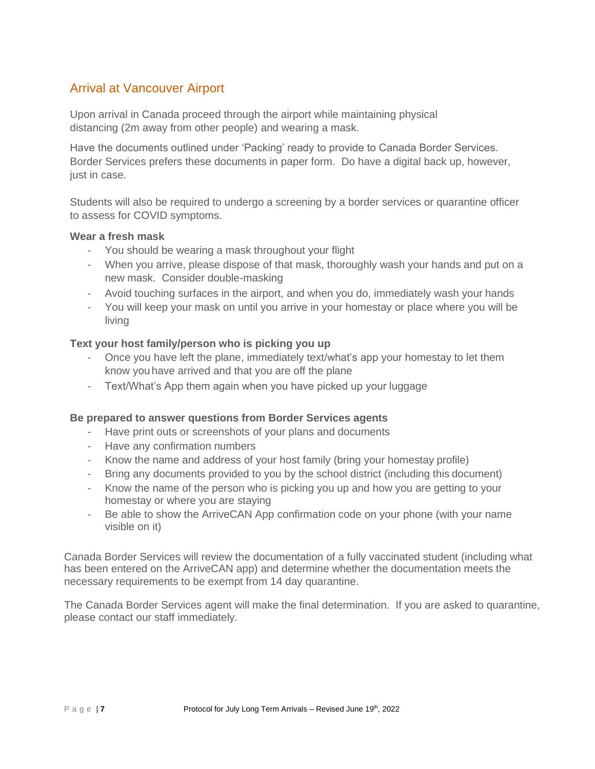# Arrival at Vancouver Airport

Upon arrival in Canada proceed through the airport while maintaining physical distancing (2m away from other people) and wearing a mask.

Have the documents outlined under 'Packing' ready to provide to Canada Border Services. Border Services prefers these documents in paper form. Do have a digital back up, however, just in case.

Students will also be required to undergo a screening by a border services or quarantine officer to assess for COVID symptoms.

### **Wear a fresh mask**

- You should be wearing a mask throughout your flight
- When you arrive, please dispose of that mask, thoroughly wash your hands and put on a new mask. Consider double-masking
- Avoid touching surfaces in the airport, and when you do, immediately wash your hands
- You will keep your mask on until you arrive in your homestay or place where you will be living

### **Text your host family/person who is picking you up**

- Once you have left the plane, immediately text/what's app your homestay to let them know youhave arrived and that you are off the plane
- Text/What's App them again when you have picked up your luggage

### **Be prepared to answer questions from Border Services agents**

- Have print outs or screenshots of your plans and documents
- Have any confirmation numbers
- Know the name and address of your host family (bring your homestay profile)
- Bring any documents provided to you by the school district (including this document)
- Know the name of the person who is picking you up and how you are getting to your homestay or where you are staying
- Be able to show the ArriveCAN App confirmation code on your phone (with your name visible on it)

Canada Border Services will review the documentation of a fully vaccinated student (including what has been entered on the ArriveCAN app) and determine whether the documentation meets the necessary requirements to be exempt from 14 day quarantine.

The Canada Border Services agent will make the final determination. If you are asked to quarantine, please contact our staff immediately.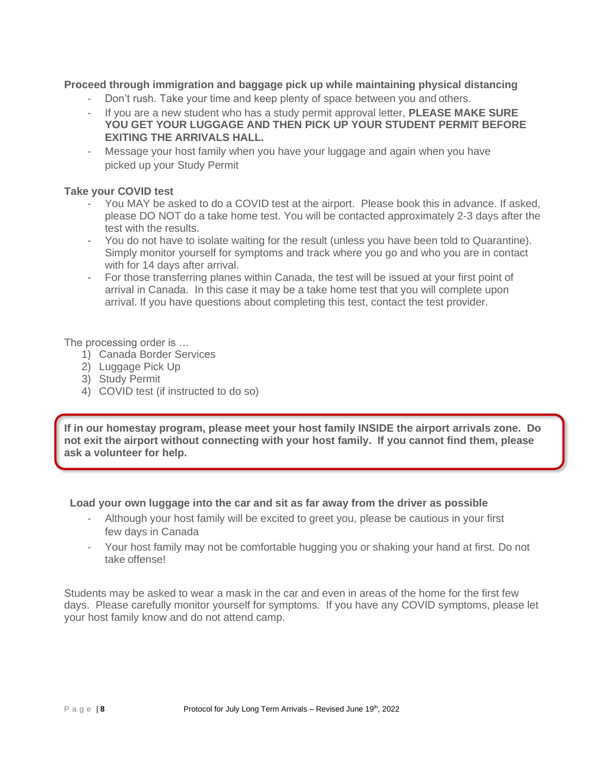## **Proceed through immigration and baggage pick up while maintaining physical distancing**

- Don't rush. Take your time and keep plenty of space between you and others.
- If you are a new student who has a study permit approval letter, **PLEASE MAKE SURE YOU GET YOUR LUGGAGE AND THEN PICK UP YOUR STUDENT PERMIT BEFORE EXITING THE ARRIVALS HALL.**
- Message your host family when you have your luggage and again when you have picked up your Study Permit

### **Take your COVID test**

- You MAY be asked to do a COVID test at the airport. Please book this in advance. If asked, please DO NOT do a take home test. You will be contacted approximately 2-3 days after the test with the results.
- You do not have to isolate waiting for the result (unless you have been told to Quarantine). Simply monitor yourself for symptoms and track where you go and who you are in contact with for 14 days after arrival.
- For those transferring planes within Canada, the test will be issued at your first point of arrival in Canada. In this case it may be a take home test that you will complete upon arrival. If you have questions about completing this test, contact the test provider.

The processing order is …

- 1) Canada Border Services
- 2) Luggage Pick Up
- 3) Study Permit
- 4) COVID test (if instructed to do so)

**If in our homestay program, please meet your host family INSIDE the airport arrivals zone. Do not exit the airport without connecting with your host family. If you cannot find them, please ask a volunteer for help.**

**Load your own luggage into the car and sit as far away from the driver as possible**

- Although your host family will be excited to greet you, please be cautious in your first few days in Canada
- Your host family may not be comfortable hugging you or shaking your hand at first. Do not take offense!

Students may be asked to wear a mask in the car and even in areas of the home for the first few days. Please carefully monitor yourself for symptoms. If you have any COVID symptoms, please let your host family know and do not attend camp.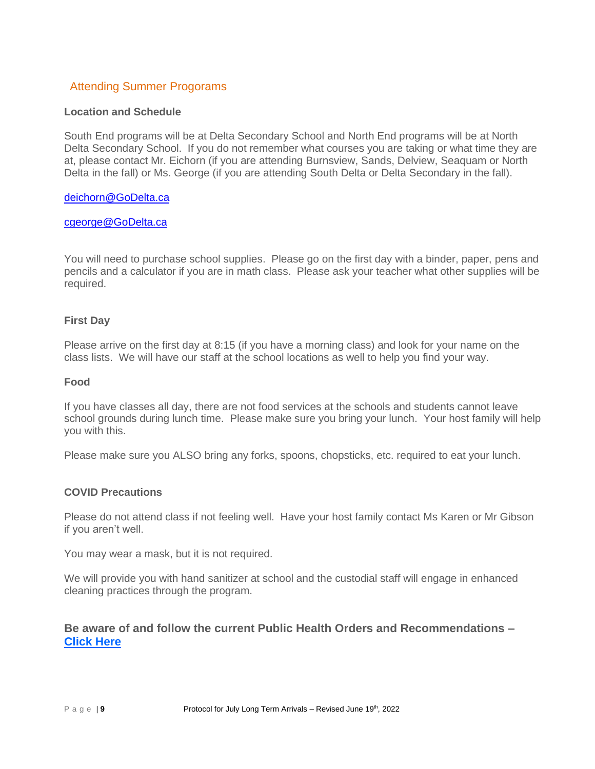# Attending Summer Progorams

### **Location and Schedule**

South End programs will be at Delta Secondary School and North End programs will be at North Delta Secondary School. If you do not remember what courses you are taking or what time they are at, please contact Mr. Eichorn (if you are attending Burnsview, Sands, Delview, Seaquam or North Delta in the fall) or Ms. George (if you are attending South Delta or Delta Secondary in the fall).

#### [deichorn@GoDelta.ca](mailto:deichorn@GoDelta.ca)

#### [cgeorge@GoDelta.ca](mailto:cgeorge@GoDelta.ca)

You will need to purchase school supplies. Please go on the first day with a binder, paper, pens and pencils and a calculator if you are in math class. Please ask your teacher what other supplies will be required.

### **First Day**

Please arrive on the first day at 8:15 (if you have a morning class) and look for your name on the class lists. We will have our staff at the school locations as well to help you find your way.

#### **Food**

If you have classes all day, there are not food services at the schools and students cannot leave school grounds during lunch time. Please make sure you bring your lunch. Your host family will help you with this.

Please make sure you ALSO bring any forks, spoons, chopsticks, etc. required to eat your lunch.

### **COVID Precautions**

Please do not attend class if not feeling well. Have your host family contact Ms Karen or Mr Gibson if you aren't well.

You may wear a mask, but it is not required.

We will provide you with hand sanitizer at school and the custodial staff will engage in enhanced cleaning practices through the program.

# **Be aware of and follow the current Public Health Orders and Recommendations – [Click Here](https://www2.gov.bc.ca/gov/content/covid-19/info/response)**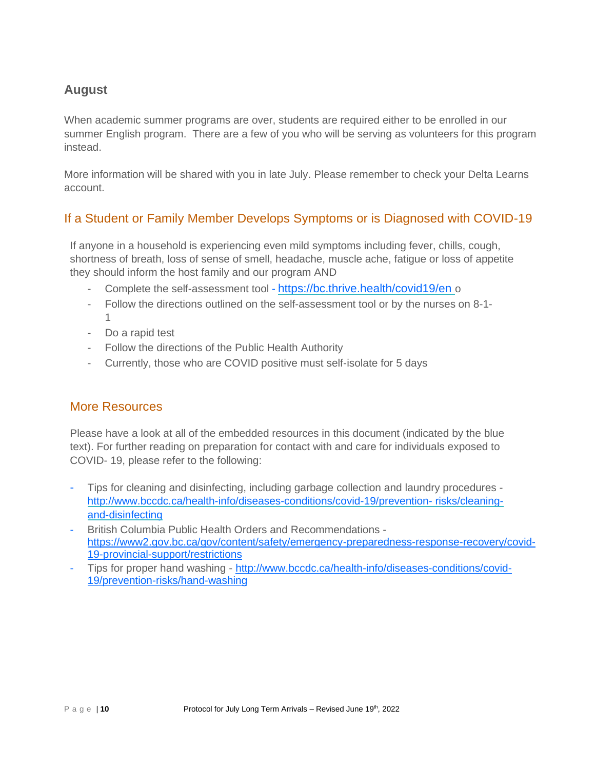# **August**

When academic summer programs are over, students are required either to be enrolled in our summer English program. There are a few of you who will be serving as volunteers for this program instead.

More information will be shared with you in late July. Please remember to check your Delta Learns account.

# If a Student or Family Member Develops Symptoms or is Diagnosed with COVID-19

If anyone in a household is experiencing even mild symptoms including fever, chills, cough, shortness of breath, loss of sense of smell, headache, muscle ache, fatigue or loss of appetite they should inform the host family and our program AND

- Complete the self-assessment tool <https://bc.thrive.health/covid19/en> o
- Follow the directions outlined on the self-assessment tool or by the nurses on 8-1- 1
- Do a rapid test
- Follow the directions of the Public Health Authority
- Currently, those who are COVID positive must self-isolate for 5 days

# More Resources

Please have a look at all of the embedded resources in this document (indicated by the blue text). For further reading on preparation for contact with and care for individuals exposed to COVID- 19, please refer to the following:

- Tips for cleaning and disinfecting, including garbage collection and laundry procedures <http://www.bccdc.ca/health-info/diseases-conditions/covid-19/prevention-> [risks/cleaning](http://www.bccdc.ca/health-info/diseases-conditions/covid-19/prevention-risks/cleaning-and-disinfecting)[and-disinfecting](http://www.bccdc.ca/health-info/diseases-conditions/covid-19/prevention-risks/cleaning-and-disinfecting)
- British Columbia Public Health Orders and Recommendations [https://www2.gov.bc.ca/gov/content/safety/emergency-preparedness-response-recovery/covid-](https://www2.gov.bc.ca/gov/content/safety/emergency-preparedness-response-recovery/covid-19-provincial-support/restrictions)[19-provincial-support/restrictions](https://www2.gov.bc.ca/gov/content/safety/emergency-preparedness-response-recovery/covid-19-provincial-support/restrictions)
- Tips for proper hand washing [http://www.bccdc.ca/health-info/diseases-conditions/covid-](http://www.bccdc.ca/health-info/diseases-conditions/covid-19/prevention-risks/hand-washing)[19/prevention-risks/hand-washing](http://www.bccdc.ca/health-info/diseases-conditions/covid-19/prevention-risks/hand-washing)